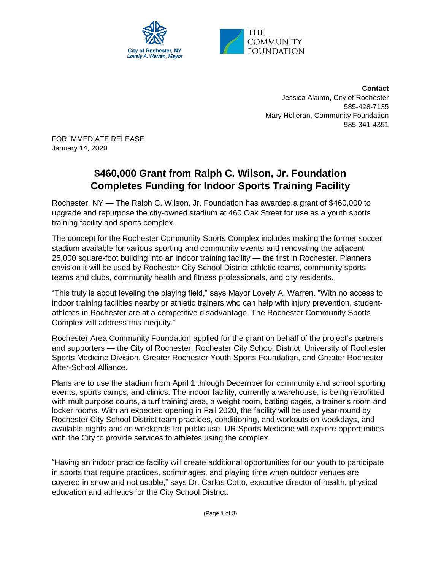

**Contact** Jessica Alaimo, City of Rochester 585-428-7135 Mary Holleran, Community Foundation 585-341-4351

FOR IMMEDIATE RELEASE January 14, 2020

## **\$460,000 Grant from Ralph C. Wilson, Jr. Foundation Completes Funding for Indoor Sports Training Facility**

Rochester, NY — The Ralph C. Wilson, Jr. Foundation has awarded a grant of \$460,000 to upgrade and repurpose the city-owned stadium at 460 Oak Street for use as a youth sports training facility and sports complex.

The concept for the Rochester Community Sports Complex includes making the former soccer stadium available for various sporting and community events and renovating the adjacent 25,000 square-foot building into an indoor training facility — the first in Rochester. Planners envision it will be used by Rochester City School District athletic teams, community sports teams and clubs, community health and fitness professionals, and city residents.

"This truly is about leveling the playing field," says Mayor Lovely A. Warren. "With no access to indoor training facilities nearby or athletic trainers who can help with injury prevention, studentathletes in Rochester are at a competitive disadvantage. The Rochester Community Sports Complex will address this inequity."

Rochester Area Community Foundation applied for the grant on behalf of the project's partners and supporters — the City of Rochester, Rochester City School District, University of Rochester Sports Medicine Division, Greater Rochester Youth Sports Foundation, and Greater Rochester After-School Alliance.

Plans are to use the stadium from April 1 through December for community and school sporting events, sports camps, and clinics. The indoor facility, currently a warehouse, is being retrofitted with multipurpose courts, a turf training area, a weight room, batting cages, a trainer's room and locker rooms. With an expected opening in Fall 2020, the facility will be used year-round by Rochester City School District team practices, conditioning, and workouts on weekdays, and available nights and on weekends for public use. UR Sports Medicine will explore opportunities with the City to provide services to athletes using the complex.

"Having an indoor practice facility will create additional opportunities for our youth to participate in sports that require practices, scrimmages, and playing time when outdoor venues are covered in snow and not usable," says Dr. Carlos Cotto, executive director of health, physical education and athletics for the City School District.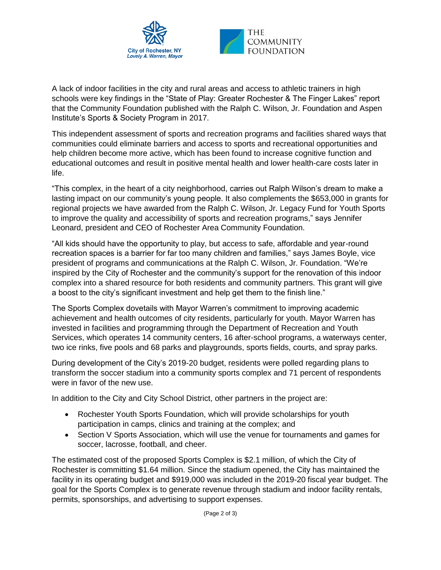

A lack of indoor facilities in the city and rural areas and access to athletic trainers in high schools were key findings in the "State of Play: Greater Rochester & The Finger Lakes" report that the Community Foundation published with the Ralph C. Wilson, Jr. Foundation and Aspen Institute's Sports & Society Program in 2017.

This independent assessment of sports and recreation programs and facilities shared ways that communities could eliminate barriers and access to sports and recreational opportunities and help children become more active, which has been found to increase cognitive function and educational outcomes and result in positive mental health and lower health-care costs later in life.

"This complex, in the heart of a city neighborhood, carries out Ralph Wilson's dream to make a lasting impact on our community's young people. It also complements the \$653,000 in grants for regional projects we have awarded from the Ralph C. Wilson, Jr. Legacy Fund for Youth Sports to improve the quality and accessibility of sports and recreation programs," says Jennifer Leonard, president and CEO of Rochester Area Community Foundation.

"All kids should have the opportunity to play, but access to safe, affordable and year-round recreation spaces is a barrier for far too many children and families," says James Boyle, vice president of programs and communications at the Ralph C. Wilson, Jr. Foundation. "We're inspired by the City of Rochester and the community's support for the renovation of this indoor complex into a shared resource for both residents and community partners. This grant will give a boost to the city's significant investment and help get them to the finish line."

The Sports Complex dovetails with Mayor Warren's commitment to improving academic achievement and health outcomes of city residents, particularly for youth. Mayor Warren has invested in facilities and programming through the Department of Recreation and Youth Services, which operates 14 community centers, 16 after-school programs, a waterways center, two ice rinks, five pools and 68 parks and playgrounds, sports fields, courts, and spray parks.

During development of the City's 2019-20 budget, residents were polled regarding plans to transform the soccer stadium into a community sports complex and 71 percent of respondents were in favor of the new use.

In addition to the City and City School District, other partners in the project are:

- Rochester Youth Sports Foundation, which will provide scholarships for youth participation in camps, clinics and training at the complex; and
- Section V Sports Association, which will use the venue for tournaments and games for soccer, lacrosse, football, and cheer.

The estimated cost of the proposed Sports Complex is \$2.1 million, of which the City of Rochester is committing \$1.64 million. Since the stadium opened, the City has maintained the facility in its operating budget and \$919,000 was included in the 2019-20 fiscal year budget. The goal for the Sports Complex is to generate revenue through stadium and indoor facility rentals, permits, sponsorships, and advertising to support expenses.